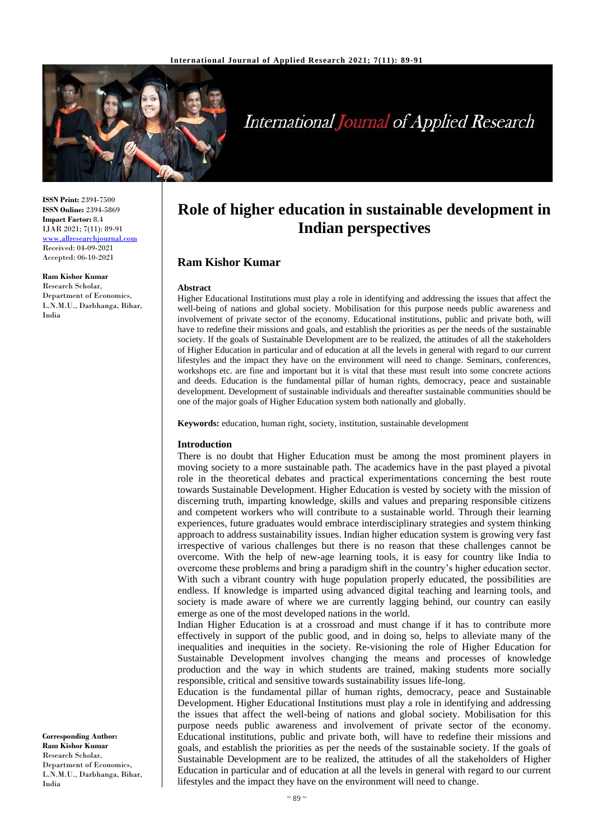

# **International Journal of Applied Research**

**ISSN Print:** 2394-7500 **ISSN Online:** 2394-5869 **Impact Factor:** 8.4 IJAR 2021; 7(11): 89-91 <www.allresearchjournal.com> Received: 04-09-2021 Accepted: 06-10-2021

#### **Ram Kishor Kumar**

Research Scholar, Department of Economics, L.N.M.U., Darbhanga, Bihar, India

**Corresponding Author: Ram Kishor Kumar** Research Scholar, Department of Economics, L.N.M.U., Darbhanga, Bihar, India

# **Role of higher education in sustainable development in Indian perspectives**

## **Ram Kishor Kumar**

#### **Abstract**

Higher Educational Institutions must play a role in identifying and addressing the issues that affect the well-being of nations and global society. Mobilisation for this purpose needs public awareness and involvement of private sector of the economy. Educational institutions, public and private both, will have to redefine their missions and goals, and establish the priorities as per the needs of the sustainable society. If the goals of Sustainable Development are to be realized, the attitudes of all the stakeholders of Higher Education in particular and of education at all the levels in general with regard to our current lifestyles and the impact they have on the environment will need to change. Seminars, conferences, workshops etc. are fine and important but it is vital that these must result into some concrete actions and deeds. Education is the fundamental pillar of human rights, democracy, peace and sustainable development. Development of sustainable individuals and thereafter sustainable communities should be one of the major goals of Higher Education system both nationally and globally.

**Keywords:** education, human right, society, institution, sustainable development

#### **Introduction**

There is no doubt that Higher Education must be among the most prominent players in moving society to a more sustainable path. The academics have in the past played a pivotal role in the theoretical debates and practical experimentations concerning the best route towards Sustainable Development. Higher Education is vested by society with the mission of discerning truth, imparting knowledge, skills and values and preparing responsible citizens and competent workers who will contribute to a sustainable world. Through their learning experiences, future graduates would embrace interdisciplinary strategies and system thinking approach to address sustainability issues. Indian higher education system is growing very fast irrespective of various challenges but there is no reason that these challenges cannot be overcome. With the help of new-age learning tools, it is easy for country like India to overcome these problems and bring a paradigm shift in the country's higher education sector. With such a vibrant country with huge population properly educated, the possibilities are endless. If knowledge is imparted using advanced digital teaching and learning tools, and society is made aware of where we are currently lagging behind, our country can easily emerge as one of the most developed nations in the world.

Indian Higher Education is at a crossroad and must change if it has to contribute more effectively in support of the public good, and in doing so, helps to alleviate many of the inequalities and inequities in the society. Re-visioning the role of Higher Education for Sustainable Development involves changing the means and processes of knowledge production and the way in which students are trained, making students more socially responsible, critical and sensitive towards sustainability issues life-long.

Education is the fundamental pillar of human rights, democracy, peace and Sustainable Development. Higher Educational Institutions must play a role in identifying and addressing the issues that affect the well-being of nations and global society. Mobilisation for this purpose needs public awareness and involvement of private sector of the economy. Educational institutions, public and private both, will have to redefine their missions and goals, and establish the priorities as per the needs of the sustainable society. If the goals of Sustainable Development are to be realized, the attitudes of all the stakeholders of Higher Education in particular and of education at all the levels in general with regard to our current lifestyles and the impact they have on the environment will need to change.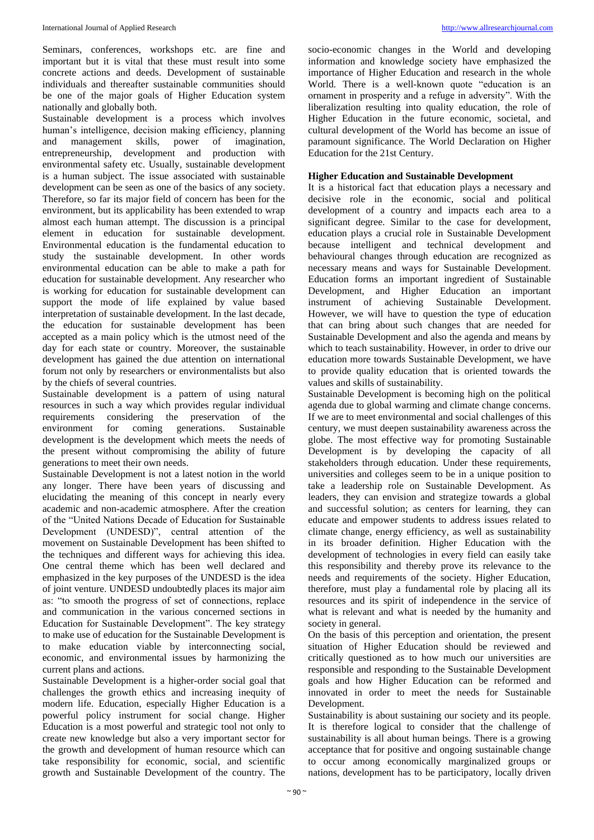Seminars, conferences, workshops etc. are fine and important but it is vital that these must result into some concrete actions and deeds. Development of sustainable individuals and thereafter sustainable communities should be one of the major goals of Higher Education system nationally and globally both.

Sustainable development is a process which involves human's intelligence, decision making efficiency, planning and management skills, power of imagination, entrepreneurship, development and production with environmental safety etc. Usually, sustainable development is a human subject. The issue associated with sustainable development can be seen as one of the basics of any society. Therefore, so far its major field of concern has been for the environment, but its applicability has been extended to wrap almost each human attempt. The discussion is a principal element in education for sustainable development. Environmental education is the fundamental education to study the sustainable development. In other words environmental education can be able to make a path for education for sustainable development. Any researcher who is working for education for sustainable development can support the mode of life explained by value based interpretation of sustainable development. In the last decade, the education for sustainable development has been accepted as a main policy which is the utmost need of the day for each state or country. Moreover, the sustainable development has gained the due attention on international forum not only by researchers or environmentalists but also by the chiefs of several countries.

Sustainable development is a pattern of using natural resources in such a way which provides regular individual requirements considering the preservation of the environment for coming generations. Sustainable development is the development which meets the needs of the present without compromising the ability of future generations to meet their own needs.

Sustainable Development is not a latest notion in the world any longer. There have been years of discussing and elucidating the meaning of this concept in nearly every academic and non-academic atmosphere. After the creation of the "United Nations Decade of Education for Sustainable Development (UNDESD)", central attention of the movement on Sustainable Development has been shifted to the techniques and different ways for achieving this idea. One central theme which has been well declared and emphasized in the key purposes of the UNDESD is the idea of joint venture. UNDESD undoubtedly places its major aim as: "to smooth the progress of set of connections, replace and communication in the various concerned sections in Education for Sustainable Development". The key strategy to make use of education for the Sustainable Development is to make education viable by interconnecting social, economic, and environmental issues by harmonizing the current plans and actions.

Sustainable Development is a higher-order social goal that challenges the growth ethics and increasing inequity of modern life. Education, especially Higher Education is a powerful policy instrument for social change. Higher Education is a most powerful and strategic tool not only to create new knowledge but also a very important sector for the growth and development of human resource which can take responsibility for economic, social, and scientific growth and Sustainable Development of the country. The

socio-economic changes in the World and developing information and knowledge society have emphasized the importance of Higher Education and research in the whole World. There is a well-known quote "education is an ornament in prosperity and a refuge in adversity". With the liberalization resulting into quality education, the role of Higher Education in the future economic, societal, and cultural development of the World has become an issue of paramount significance. The World Declaration on Higher Education for the 21st Century.

### **Higher Education and Sustainable Development**

It is a historical fact that education plays a necessary and decisive role in the economic, social and political development of a country and impacts each area to a significant degree. Similar to the case for development, education plays a crucial role in Sustainable Development because intelligent and technical development and behavioural changes through education are recognized as necessary means and ways for Sustainable Development. Education forms an important ingredient of Sustainable Development, and Higher Education an important instrument of achieving Sustainable Development. However, we will have to question the type of education that can bring about such changes that are needed for Sustainable Development and also the agenda and means by which to teach sustainability. However, in order to drive our education more towards Sustainable Development, we have to provide quality education that is oriented towards the values and skills of sustainability.

Sustainable Development is becoming high on the political agenda due to global warming and climate change concerns. If we are to meet environmental and social challenges of this century, we must deepen sustainability awareness across the globe. The most effective way for promoting Sustainable Development is by developing the capacity of all stakeholders through education. Under these requirements, universities and colleges seem to be in a unique position to take a leadership role on Sustainable Development. As leaders, they can envision and strategize towards a global and successful solution; as centers for learning, they can educate and empower students to address issues related to climate change, energy efficiency, as well as sustainability in its broader definition. Higher Education with the development of technologies in every field can easily take this responsibility and thereby prove its relevance to the needs and requirements of the society. Higher Education, therefore, must play a fundamental role by placing all its resources and its spirit of independence in the service of what is relevant and what is needed by the humanity and society in general.

On the basis of this perception and orientation, the present situation of Higher Education should be reviewed and critically questioned as to how much our universities are responsible and responding to the Sustainable Development goals and how Higher Education can be reformed and innovated in order to meet the needs for Sustainable Development.

Sustainability is about sustaining our society and its people. It is therefore logical to consider that the challenge of sustainability is all about human beings. There is a growing acceptance that for positive and ongoing sustainable change to occur among economically marginalized groups or nations, development has to be participatory, locally driven